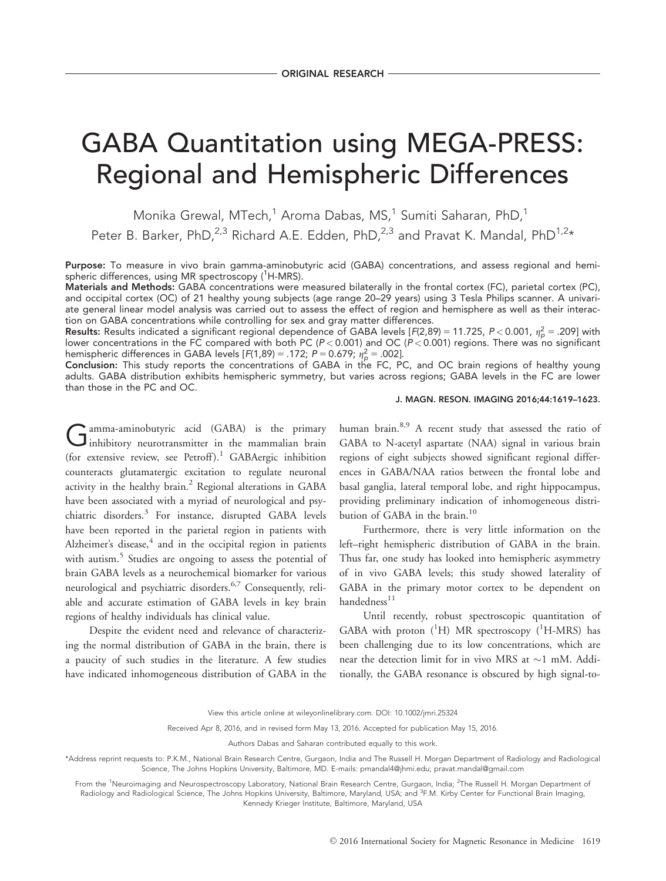# GABA Quantitation using MEGA-PRESS: Regional and Hemispheric Differences

Monika Grewal, MTech,<sup>1</sup> Aroma Dabas, MS,<sup>1</sup> Sumiti Saharan, PhD,<sup>1</sup> Peter B. Barker, PhD,<sup>2,3</sup> Richard A.E. Edden, PhD,<sup>2,3</sup> and Pravat K. Mandal, PhD<sup>1,2\*</sup>

Purpose: To measure in vivo brain gamma-aminobutyric acid (GABA) concentrations, and assess regional and hemispheric differences, using MR spectroscopy (<sup>1</sup>H-MRS).

Materials and Methods: GABA concentrations were measured bilaterally in the frontal cortex (FC), parietal cortex (PC), and occipital cortex (OC) of 21 healthy young subjects (age range 20–29 years) using 3 Tesla Philips scanner. A univariate general linear model analysis was carried out to assess the effect of region and hemisphere as well as their interaction on GABA concentrations while controlling for sex and gray matter differences.

**Results:** Results indicated a significant regional dependence of GABA levels [F(2,89) = 11.725, P < 0.001,  $\eta_p^2$  = .209] with lower concentrations in the FC compared with both PC (P < 0.001) and OC (P < 0.001) regions. There was no significant hemispheric differences in GABA levels  $[F(1,89) = .172; P = 0.679; \eta_{p}^{2} = .002]$ .

Conclusion: This study reports the concentrations of GABA in the FC, PC, and OC brain regions of healthy young adults. GABA distribution exhibits hemispheric symmetry, but varies across regions; GABA levels in the FC are lower than those in the PC and OC.

#### J. MAGN. RESON. IMAGING 2016;44:1619–1623.

Gamma-aminobutyric acid (GABA) is the primary<br>inhibitory neurotransmitter in the mammalian brain (for extensive review, see Petroff).<sup>1</sup> GABAergic inhibition counteracts glutamatergic excitation to regulate neuronal activity in the healthy brain.<sup>2</sup> Regional alterations in GABA have been associated with a myriad of neurological and psychiatric disorders.<sup>3</sup> For instance, disrupted GABA levels have been reported in the parietal region in patients with Alzheimer's disease, $4$  and in the occipital region in patients with autism.<sup>5</sup> Studies are ongoing to assess the potential of brain GABA levels as a neurochemical biomarker for various neurological and psychiatric disorders.6,7 Consequently, reliable and accurate estimation of GABA levels in key brain regions of healthy individuals has clinical value.

Despite the evident need and relevance of characterizing the normal distribution of GABA in the brain, there is a paucity of such studies in the literature. A few studies have indicated inhomogeneous distribution of GABA in the human brain.<sup>8,9</sup> A recent study that assessed the ratio of GABA to N-acetyl aspartate (NAA) signal in various brain regions of eight subjects showed significant regional differences in GABA/NAA ratios between the frontal lobe and basal ganglia, lateral temporal lobe, and right hippocampus, providing preliminary indication of inhomogeneous distribution of GABA in the brain.<sup>10</sup>

Furthermore, there is very little information on the left–right hemispheric distribution of GABA in the brain. Thus far, one study has looked into hemispheric asymmetry of in vivo GABA levels; this study showed laterality of GABA in the primary motor cortex to be dependent on handedness $^{11}$ 

Until recently, robust spectroscopic quantitation of GABA with proton  $(^{1}H)$  MR spectroscopy  $(^{1}H\text{-MRS})$  has been challenging due to its low concentrations, which are near the detection limit for in vivo MRS at  $\sim$ 1 mM. Additionally, the GABA resonance is obscured by high signal-to-

View this article online at wileyonlinelibrary.com. DOI: 10.1002/jmri.25324

Received Apr 8, 2016, and in revised form May 13, 2016. Accepted for publication May 15, 2016.

Authors Dabas and Saharan contributed equally to this work.

\*Address reprint requests to: P.K.M., National Brain Research Centre, Gurgaon, India and The Russell H. Morgan Department of Radiology and Radiological Science, The Johns Hopkins University, Baltimore, MD. E-mails: pmandal4@jhmi.edu; pravat.mandal@gmail.com

From the <sup>1</sup>Neuroimaging and Neurospectroscopy Laboratory, National Brain Research Centre, Gurgaon, India; <sup>2</sup>The Russell H. Morgan Department of Radiology and Radiological Science, The Johns Hopkins University, Baltimore, Maryland, USA; and <sup>3</sup>F.M. Kirby Center for Functional Brain Imaging, Kennedy Krieger Institute, Baltimore, Maryland, USA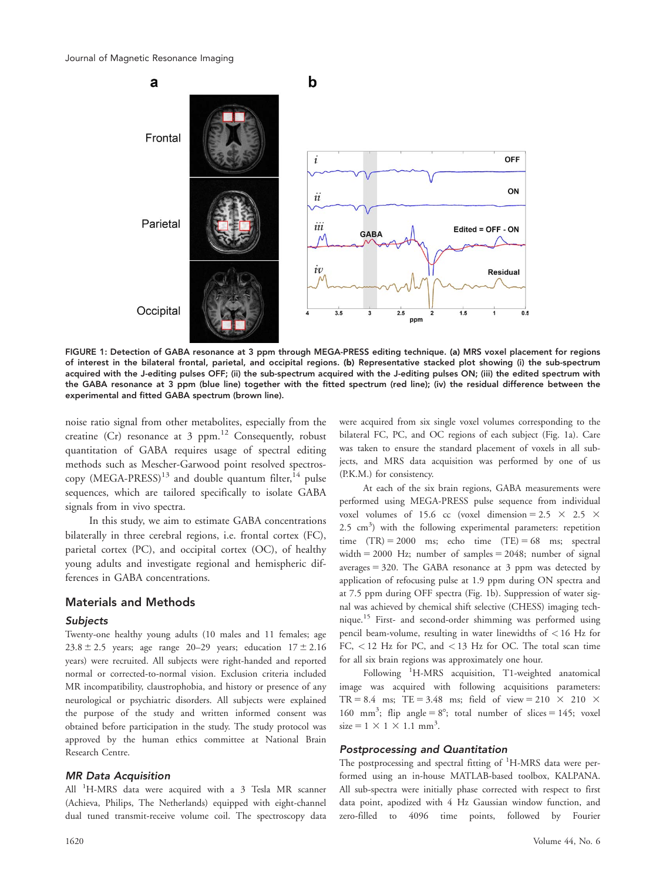

FIGURE 1: Detection of GABA resonance at 3 ppm through MEGA-PRESS editing technique. (a) MRS voxel placement for regions of interest in the bilateral frontal, parietal, and occipital regions. (b) Representative stacked plot showing (i) the sub-spectrum acquired with the J-editing pulses OFF; (ii) the sub-spectrum acquired with the J-editing pulses ON; (iii) the edited spectrum with the GABA resonance at 3 ppm (blue line) together with the fitted spectrum (red line); (iv) the residual difference between the experimental and fitted GABA spectrum (brown line).

noise ratio signal from other metabolites, especially from the creatine (Cr) resonance at 3 ppm. $12$  Consequently, robust quantitation of GABA requires usage of spectral editing methods such as Mescher-Garwood point resolved spectroscopy  $(MEGA-PRESS)^{13}$  and double quantum filter,  $14$  pulse sequences, which are tailored specifically to isolate GABA signals from in vivo spectra.

In this study, we aim to estimate GABA concentrations bilaterally in three cerebral regions, i.e. frontal cortex (FC), parietal cortex (PC), and occipital cortex (OC), of healthy young adults and investigate regional and hemispheric differences in GABA concentrations.

## Materials and Methods

#### Subjects

Twenty-one healthy young adults (10 males and 11 females; age 23.8  $\pm$  2.5 years; age range 20–29 years; education  $17 \pm 2.16$ years) were recruited. All subjects were right-handed and reported normal or corrected-to-normal vision. Exclusion criteria included MR incompatibility, claustrophobia, and history or presence of any neurological or psychiatric disorders. All subjects were explained the purpose of the study and written informed consent was obtained before participation in the study. The study protocol was approved by the human ethics committee at National Brain Research Centre.

## MR Data Acquisition

All <sup>1</sup>H-MRS data were acquired with a 3 Tesla MR scanner (Achieva, Philips, The Netherlands) equipped with eight-channel dual tuned transmit-receive volume coil. The spectroscopy data were acquired from six single voxel volumes corresponding to the bilateral FC, PC, and OC regions of each subject (Fig. 1a). Care was taken to ensure the standard placement of voxels in all subjects, and MRS data acquisition was performed by one of us (P.K.M.) for consistency.

At each of the six brain regions, GABA measurements were performed using MEGA-PRESS pulse sequence from individual voxel volumes of 15.6 cc (voxel dimension = 2.5  $\times$  2.5  $\times$  $2.5 \text{ cm}^3$ ) with the following experimental parameters: repetition time  $(TR) = 2000$  ms; echo time  $(TE) = 68$  ms; spectral width  $= 2000$  Hz; number of samples  $= 2048$ ; number of signal averages  $= 320$ . The GABA resonance at 3 ppm was detected by application of refocusing pulse at 1.9 ppm during ON spectra and at 7.5 ppm during OFF spectra (Fig. 1b). Suppression of water signal was achieved by chemical shift selective (CHESS) imaging technique.<sup>15</sup> First- and second-order shimming was performed using pencil beam-volume, resulting in water linewidths of < 16 Hz for FC, < 12 Hz for PC, and < 13 Hz for OC. The total scan time for all six brain regions was approximately one hour.

Following <sup>1</sup>H-MRS acquisition, T1-weighted anatomical image was acquired with following acquisitions parameters: TR = 8.4 ms; TE = 3.48 ms; field of view = 210  $\times$  210  $\times$ 160 mm<sup>3</sup>; flip angle =  $8^\circ$ ; total number of slices = 145; voxel  $size = 1 \times 1 \times 1.1 \text{ mm}^3$ .

### Postprocessing and Quantitation

The postprocessing and spectral fitting of <sup>1</sup>H-MRS data were performed using an in-house MATLAB-based toolbox, KALPANA. All sub-spectra were initially phase corrected with respect to first data point, apodized with 4 Hz Gaussian window function, and zero-filled to 4096 time points, followed by Fourier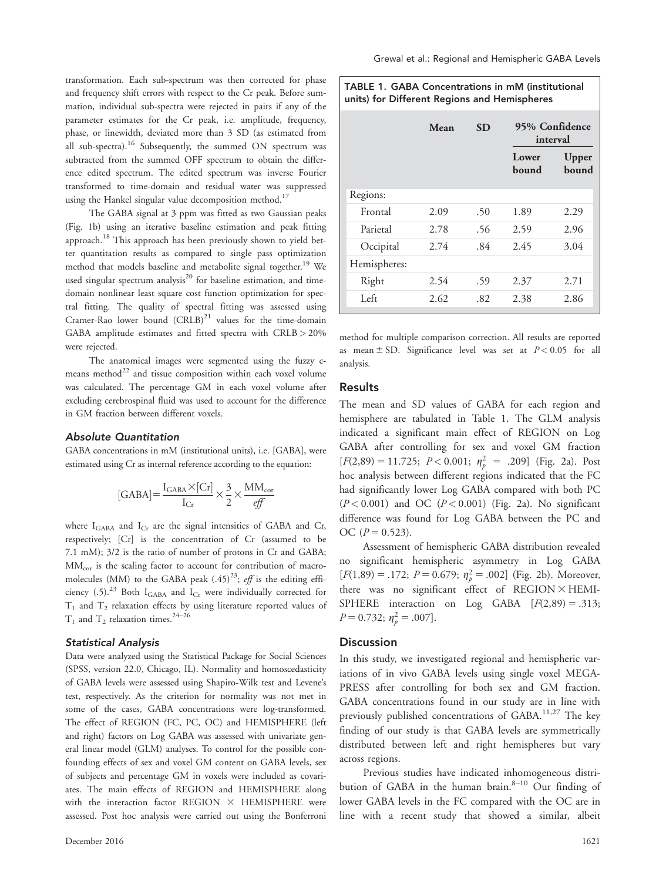transformation. Each sub-spectrum was then corrected for phase and frequency shift errors with respect to the Cr peak. Before summation, individual sub-spectra were rejected in pairs if any of the parameter estimates for the Cr peak, i.e. amplitude, frequency, phase, or linewidth, deviated more than 3 SD (as estimated from all sub-spectra).<sup>16</sup> Subsequently, the summed ON spectrum was subtracted from the summed OFF spectrum to obtain the difference edited spectrum. The edited spectrum was inverse Fourier transformed to time-domain and residual water was suppressed using the Hankel singular value decomposition method.<sup>17</sup>

The GABA signal at 3 ppm was fitted as two Gaussian peaks (Fig. 1b) using an iterative baseline estimation and peak fitting approach.<sup>18</sup> This approach has been previously shown to yield better quantitation results as compared to single pass optimization method that models baseline and metabolite signal together.<sup>19</sup> We used singular spectrum analysis<sup>20</sup> for baseline estimation, and timedomain nonlinear least square cost function optimization for spectral fitting. The quality of spectral fitting was assessed using Cramer-Rao lower bound  $(CRLB)^{21}$  values for the time-domain GABA amplitude estimates and fitted spectra with CRLB > 20% were rejected.

The anatomical images were segmented using the fuzzy cmeans method $^{22}$  and tissue composition within each voxel volume was calculated. The percentage GM in each voxel volume after excluding cerebrospinal fluid was used to account for the difference in GM fraction between different voxels.

#### Absolute Quantitation

GABA concentrations in mM (institutional units), i.e. [GABA], were estimated using Cr as internal reference according to the equation:

$$
[\mathrm{GABA}]\!=\!\frac{\mathrm{I_{GABA}\times [Cr]}}{\mathrm{I_{Cr}}}\!\times\! \frac{3}{2}\!\times\! \frac{\mathrm{MM_{cor}}}{\mathrm{eff}}
$$

where  $I_{\text{GABA}}$  and  $I_{\text{Cr}}$  are the signal intensities of GABA and Cr, respectively; [Cr] is the concentration of Cr (assumed to be 7.1 mM); 3/2 is the ratio of number of protons in Cr and GABA; MMcor is the scaling factor to account for contribution of macromolecules (MM) to the GABA peak  $(.45)^{23}$ ; eff is the editing efficiency (.5).<sup>23</sup> Both I<sub>GABA</sub> and I<sub>Cr</sub> were individually corrected for  $T_1$  and  $T_2$  relaxation effects by using literature reported values of  $T_1$  and  $T_2$  relaxation times.<sup>24-26</sup>

#### Statistical Analysis

Data were analyzed using the Statistical Package for Social Sciences (SPSS, version 22.0, Chicago, IL). Normality and homoscedasticity of GABA levels were assessed using Shapiro-Wilk test and Levene's test, respectively. As the criterion for normality was not met in some of the cases, GABA concentrations were log-transformed. The effect of REGION (FC, PC, OC) and HEMISPHERE (left and right) factors on Log GABA was assessed with univariate general linear model (GLM) analyses. To control for the possible confounding effects of sex and voxel GM content on GABA levels, sex of subjects and percentage GM in voxels were included as covariates. The main effects of REGION and HEMISPHERE along with the interaction factor REGION  $\times$  HEMISPHERE were assessed. Post hoc analysis were carried out using the Bonferroni TABLE 1. GABA Concentrations in mM (institutional units) for Different Regions and Hemispheres

|              | Mean | <b>SD</b> | 95% Confidence<br>interval |                |
|--------------|------|-----------|----------------------------|----------------|
|              |      |           | Lower<br>bound             | Upper<br>bound |
| Regions:     |      |           |                            |                |
| Frontal      | 2.09 | .50       | 1.89                       | 2.29           |
| Parietal     | 2.78 | .56       | 2.59                       | 2.96           |
| Occipital    | 2.74 | .84       | 2.45                       | 3.04           |
| Hemispheres: |      |           |                            |                |
| Right        | 2.54 | .59       | 2.37                       | 2.71           |
| Left         | 2.62 | .82       | 2.38                       | 2.86           |

method for multiple comparison correction. All results are reported as mean  $\pm$  SD. Significance level was set at  $P < 0.05$  for all analysis.

## Results

The mean and SD values of GABA for each region and hemisphere are tabulated in Table 1. The GLM analysis indicated a significant main effect of REGION on Log GABA after controlling for sex and voxel GM fraction  $[F(2,89) = 11.725; P < 0.001; \eta_p^2 = .209]$  (Fig. 2a). Post hoc analysis between different regions indicated that the FC had significantly lower Log GABA compared with both PC  $(P<0.001)$  and OC  $(P<0.001)$  (Fig. 2a). No significant difference was found for Log GABA between the PC and OC  $(P = 0.523)$ .

Assessment of hemispheric GABA distribution revealed no significant hemispheric asymmetry in Log GABA  $[F(1,89) = .172; P = 0.679; \eta_p^2 = .002]$  (Fig. 2b). Moreover, there was no significant effect of  $REGION \times HEMI-$ SPHERE interaction on Log GABA  $[F(2,89) = .313;$  $P = 0.732; \eta_p^2 = .007$ .

## **Discussion**

In this study, we investigated regional and hemispheric variations of in vivo GABA levels using single voxel MEGA-PRESS after controlling for both sex and GM fraction. GABA concentrations found in our study are in line with previously published concentrations of  $GABA$ <sup>11,27</sup> The key finding of our study is that GABA levels are symmetrically distributed between left and right hemispheres but vary across regions.

Previous studies have indicated inhomogeneous distribution of GABA in the human brain. $8-10$  Our finding of lower GABA levels in the FC compared with the OC are in line with a recent study that showed a similar, albeit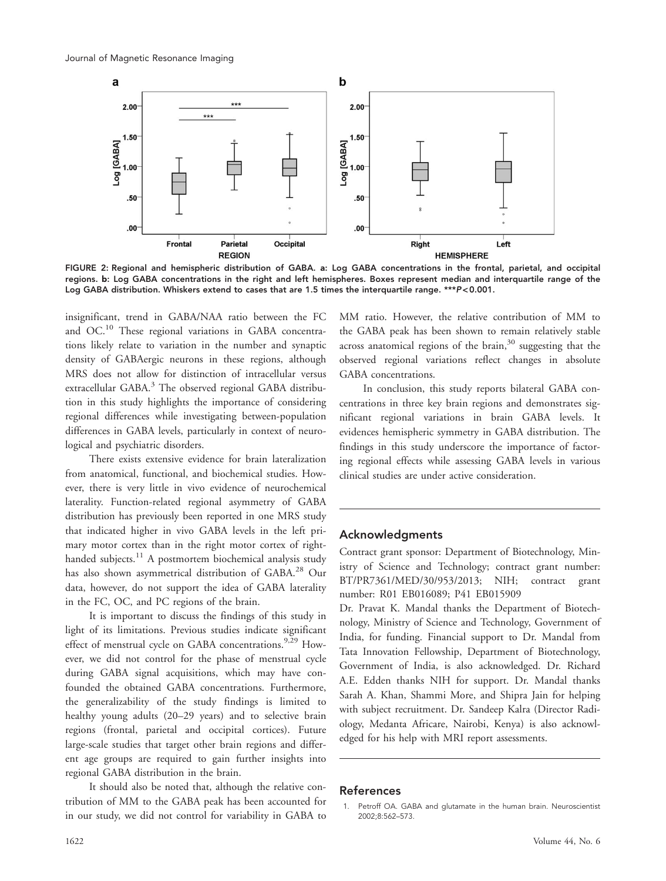

FIGURE 2: Regional and hemispheric distribution of GABA. a: Log GABA concentrations in the frontal, parietal, and occipital regions. b: Log GABA concentrations in the right and left hemispheres. Boxes represent median and interquartile range of the Log GABA distribution. Whiskers extend to cases that are 1.5 times the interquartile range. \*\*\* P< 0.001.

insignificant, trend in GABA/NAA ratio between the FC and OC.<sup>10</sup> These regional variations in GABA concentrations likely relate to variation in the number and synaptic density of GABAergic neurons in these regions, although MRS does not allow for distinction of intracellular versus extracellular GABA.<sup>3</sup> The observed regional GABA distribution in this study highlights the importance of considering regional differences while investigating between-population differences in GABA levels, particularly in context of neurological and psychiatric disorders.

There exists extensive evidence for brain lateralization from anatomical, functional, and biochemical studies. However, there is very little in vivo evidence of neurochemical laterality. Function-related regional asymmetry of GABA distribution has previously been reported in one MRS study that indicated higher in vivo GABA levels in the left primary motor cortex than in the right motor cortex of righthanded subjects.<sup>11</sup> A postmortem biochemical analysis study has also shown asymmetrical distribution of GABA.<sup>28</sup> Our data, however, do not support the idea of GABA laterality in the FC, OC, and PC regions of the brain.

It is important to discuss the findings of this study in light of its limitations. Previous studies indicate significant effect of menstrual cycle on GABA concentrations.<sup>9,29</sup> However, we did not control for the phase of menstrual cycle during GABA signal acquisitions, which may have confounded the obtained GABA concentrations. Furthermore, the generalizability of the study findings is limited to healthy young adults (20–29 years) and to selective brain regions (frontal, parietal and occipital cortices). Future large-scale studies that target other brain regions and different age groups are required to gain further insights into regional GABA distribution in the brain.

It should also be noted that, although the relative contribution of MM to the GABA peak has been accounted for in our study, we did not control for variability in GABA to

MM ratio. However, the relative contribution of MM to the GABA peak has been shown to remain relatively stable across anatomical regions of the brain, $30$  suggesting that the observed regional variations reflect changes in absolute GABA concentrations.

In conclusion, this study reports bilateral GABA concentrations in three key brain regions and demonstrates significant regional variations in brain GABA levels. It evidences hemispheric symmetry in GABA distribution. The findings in this study underscore the importance of factoring regional effects while assessing GABA levels in various clinical studies are under active consideration.

## Acknowledgments

Contract grant sponsor: Department of Biotechnology, Ministry of Science and Technology; contract grant number: BT/PR7361/MED/30/953/2013; NIH; contract grant number: R01 EB016089; P41 EB015909

Dr. Pravat K. Mandal thanks the Department of Biotechnology, Ministry of Science and Technology, Government of India, for funding. Financial support to Dr. Mandal from Tata Innovation Fellowship, Department of Biotechnology, Government of India, is also acknowledged. Dr. Richard A.E. Edden thanks NIH for support. Dr. Mandal thanks Sarah A. Khan, Shammi More, and Shipra Jain for helping with subject recruitment. Dr. Sandeep Kalra (Director Radiology, Medanta Africare, Nairobi, Kenya) is also acknowledged for his help with MRI report assessments.

#### References

<sup>1.</sup> Petroff OA. GABA and glutamate in the human brain. Neuroscientist 2002;8:562–573.